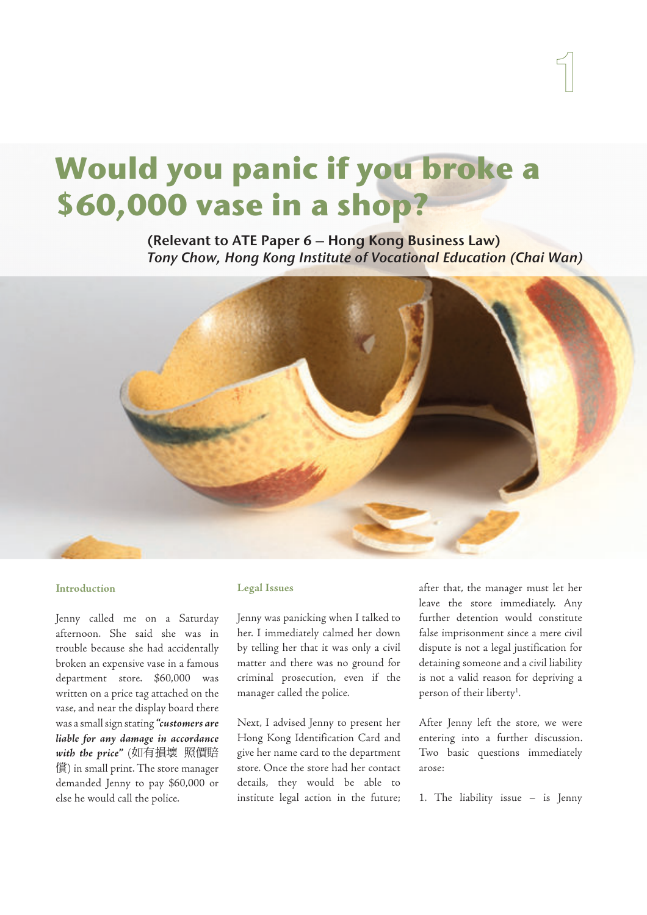# **Would you panic if you broke a \$60,000 vase in a shop?**

(Relevant to ATE Paper 6 – Hong Kong Business Law) Tony Chow, Hong Kong Institute of Vocational Education (Chai Wan)



# **Introduction**

Jenny called me on a Saturday afternoon. She said she was in trouble because she had accidentally broken an expensive vase in a famous department store. \$60,000 was written on a price tag attached on the vase, and near the display board there was a small sign stating **"customers are liable for any damage in accordance with the price"** (如有損壞 照價賠 償) in small print. The store manager demanded Jenny to pay \$60,000 or else he would call the police.

### **Legal Issues**

Jenny was panicking when I talked to her. I immediately calmed her down by telling her that it was only a civil matter and there was no ground for criminal prosecution, even if the manager called the police.

Next, I advised Jenny to present her Hong Kong Identification Card and give her name card to the department store. Once the store had her contact details, they would be able to institute legal action in the future; after that, the manager must let her leave the store immediately. Any further detention would constitute false imprisonment since a mere civil dispute is not a legal justification for detaining someone and a civil liability is not a valid reason for depriving a person of their liberty<sup>1</sup>.

After Jenny left the store, we were entering into a further discussion. Two basic questions immediately arose:

1. The liability issue – is Jenny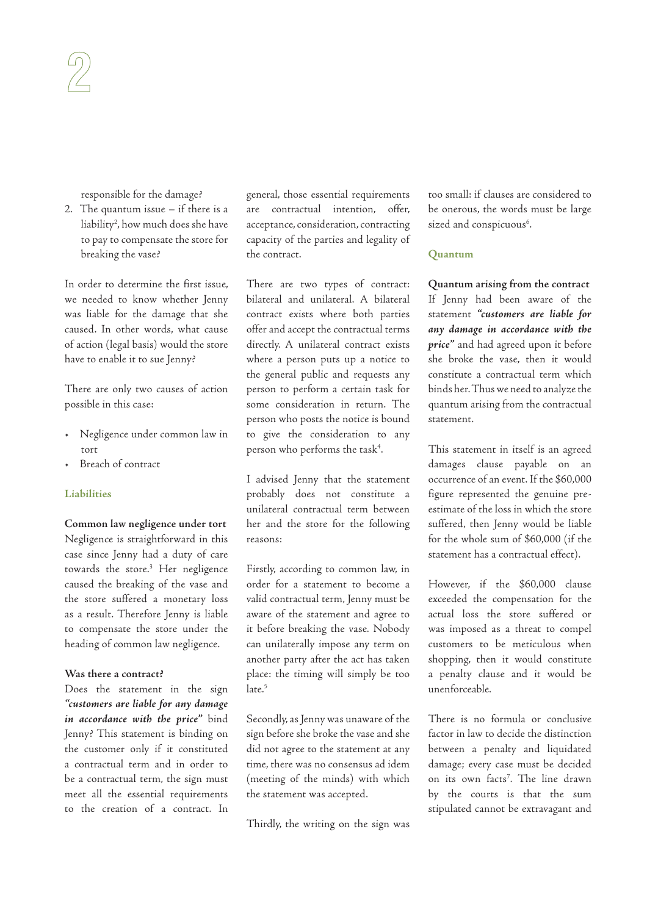responsible for the damage?

2. The quantum issue – if there is a liability<sup>2</sup> , how much does she have to pay to compensate the store for breaking the vase?

In order to determine the first issue, we needed to know whether Jenny was liable for the damage that she caused. In other words, what cause of action (legal basis) would the store have to enable it to sue Jenny?

There are only two causes of action possible in this case:

- Negligence under common law in tort
- Breach of contract

# **Liabilities**

**Common law negligence under tort** Negligence is straightforward in this case since Jenny had a duty of care towards the store.<sup>3</sup> Her negligence caused the breaking of the vase and the store suffered a monetary loss as a result. Therefore Jenny is liable to compensate the store under the heading of common law negligence.

# **Was there a contract?**

Does the statement in the sign **"customers are liable for any damage in accordance with the price"** bind Jenny? This statement is binding on the customer only if it constituted a contractual term and in order to be a contractual term, the sign must meet all the essential requirements to the creation of a contract. In

general, those essential requirements are contractual intention, offer, acceptance, consideration, contracting capacity of the parties and legality of the contract.

There are two types of contract: bilateral and unilateral. A bilateral contract exists where both parties offer and accept the contractual terms directly. A unilateral contract exists where a person puts up a notice to the general public and requests any person to perform a certain task for some consideration in return. The person who posts the notice is bound to give the consideration to any person who performs the task<sup>4</sup>.

I advised Jenny that the statement probably does not constitute a unilateral contractual term between her and the store for the following reasons:

Firstly, according to common law, in order for a statement to become a valid contractual term, Jenny must be aware of the statement and agree to it before breaking the vase. Nobody can unilaterally impose any term on another party after the act has taken place: the timing will simply be too late.<sup>5</sup>

Secondly, as Jenny was unaware of the sign before she broke the vase and she did not agree to the statement at any time, there was no consensus ad idem (meeting of the minds) with which the statement was accepted.

Thirdly, the writing on the sign was

too small: if clauses are considered to be onerous, the words must be large sized and conspicuous<sup>6</sup>.

# **Quantum**

**Quantum arising from the contract** If Jenny had been aware of the statement **"customers are liable for any damage in accordance with the price"** and had agreed upon it before she broke the vase, then it would constitute a contractual term which binds her. Thus we need to analyze the quantum arising from the contractual statement.

This statement in itself is an agreed damages clause payable on an occurrence of an event. If the \$60,000 figure represented the genuine preestimate of the loss in which the store suffered, then Jenny would be liable for the whole sum of \$60,000 (if the statement has a contractual effect).

However, if the \$60,000 clause exceeded the compensation for the actual loss the store suffered or was imposed as a threat to compel customers to be meticulous when shopping, then it would constitute a penalty clause and it would be unenforceable.

There is no formula or conclusive factor in law to decide the distinction between a penalty and liquidated damage; every case must be decided on its own facts<sup>7</sup> . The line drawn by the courts is that the sum stipulated cannot be extravagant and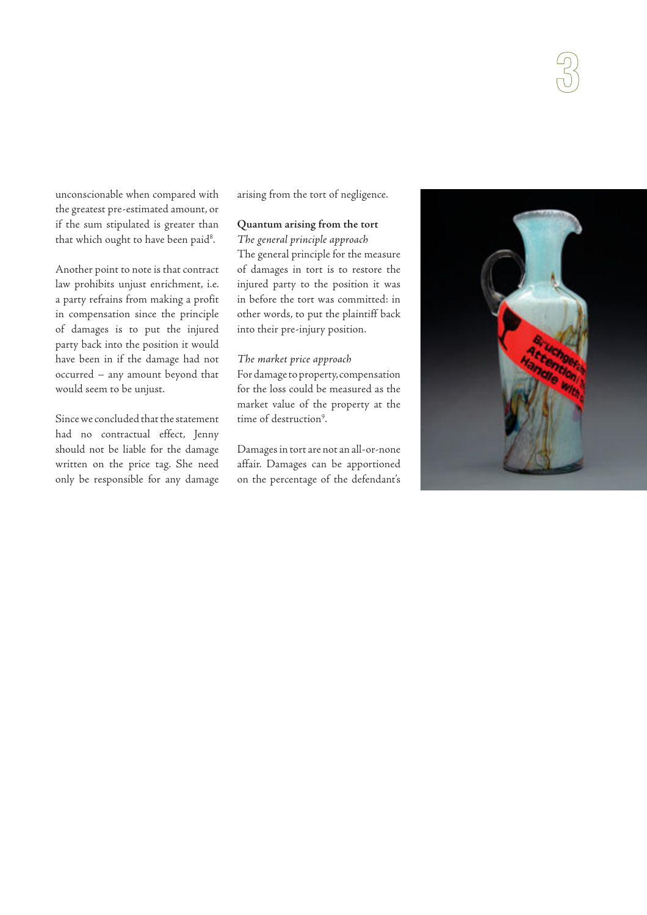unconscionable when compared with the greatest pre-estimated amount, or if the sum stipulated is greater than that which ought to have been paid $^8\cdot$ 

Another point to note is that contract law prohibits unjust enrichment, i.e. a party refrains from making a profit in compensation since the principle of damages is to put the injured party back into the position it would have been in if the damage had not occurred – any amount beyond that would seem to be unjust.

Since we concluded that the statement had no contractual effect, Jenny should not be liable for the damage written on the price tag. She need only be responsible for any damage arising from the tort of negligence.

# **Quantum arising from the tort**

The general principle approach The general principle for the measure of damages in tort is to restore the injured party to the position it was in before the tort was committed: in other words, to put the plaintiff back into their pre-injury position.

#### The market price approach

For damage to property, compensation for the loss could be measured as the market value of the property at the time of destruction<sup>9</sup>.

Damages in tort are not an all-or-none affair. Damages can be apportioned on the percentage of the defendant's